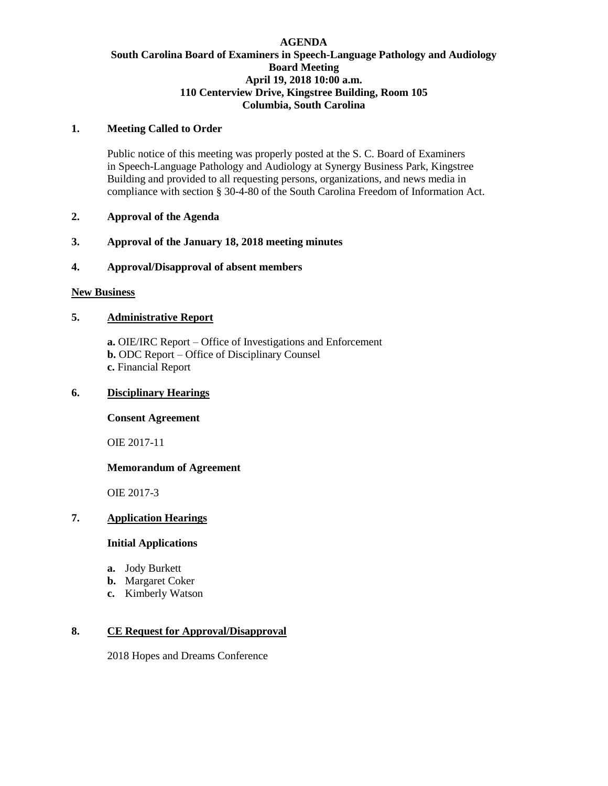# **AGENDA South Carolina Board of Examiners in Speech-Language Pathology and Audiology Board Meeting April 19, 2018 10:00 a.m. 110 Centerview Drive, Kingstree Building, Room 105 Columbia, South Carolina**

## **1. Meeting Called to Order**

Public notice of this meeting was properly posted at the S. C. Board of Examiners in Speech-Language Pathology and Audiology at Synergy Business Park, Kingstree Building and provided to all requesting persons, organizations, and news media in compliance with section § 30-4-80 of the South Carolina Freedom of Information Act.

## **2. Approval of the Agenda**

# **3. Approval of the January 18, 2018 meeting minutes**

# **4. Approval/Disapproval of absent members**

#### **New Business**

# **5. Administrative Report**

**a.** OIE/IRC Report – Office of Investigations and Enforcement **b.** ODC Report – Office of Disciplinary Counsel **c.** Financial Report

# **6. Disciplinary Hearings**

#### **Consent Agreement**

OIE 2017-11

#### **Memorandum of Agreement**

OIE 2017-3

# **7. Application Hearings**

# **Initial Applications**

- **a.** Jody Burkett
- **b.** Margaret Coker
- **c.** Kimberly Watson

# **8. CE Request for Approval/Disapproval**

2018 Hopes and Dreams Conference